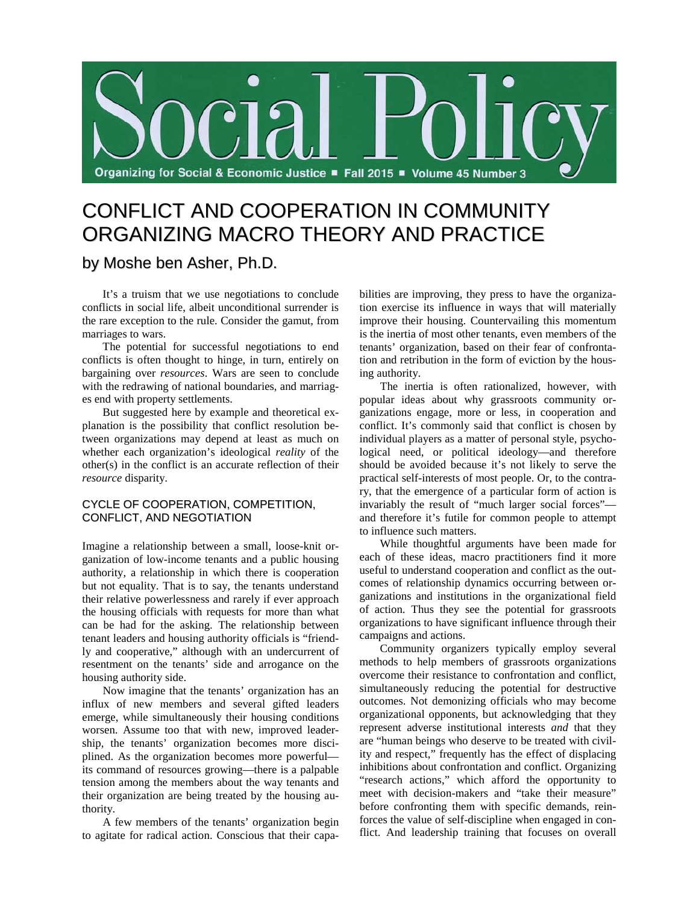

# CONFLICT AND COOPERATION IN COMMUNITY ORGANIZING MACRO THEORY AND PRACTICE

# by Moshe ben Asher, Ph.D.

It's a truism that we use negotiations to conclude conflicts in social life, albeit unconditional surrender is the rare exception to the rule. Consider the gamut, from marriages to wars.

The potential for successful negotiations to end conflicts is often thought to hinge, in turn, entirely on bargaining over *resources*. Wars are seen to conclude with the redrawing of national boundaries, and marriages end with property settlements.

But suggested here by example and theoretical explanation is the possibility that conflict resolution between organizations may depend at least as much on whether each organization's ideological *reality* of the other(s) in the conflict is an accurate reflection of their *resource* disparity.

## CYCLE OF COOPERATION, COMPETITION, CONFLICT, AND NEGOTIATION

Imagine a relationship between a small, loose-knit organization of low-income tenants and a public housing authority, a relationship in which there is cooperation but not equality. That is to say, the tenants understand their relative powerlessness and rarely if ever approach the housing officials with requests for more than what can be had for the asking. The relationship between tenant leaders and housing authority officials is "friendly and cooperative," although with an undercurrent of resentment on the tenants' side and arrogance on the housing authority side.

Now imagine that the tenants' organization has an influx of new members and several gifted leaders emerge, while simultaneously their housing conditions worsen. Assume too that with new, improved leadership, the tenants' organization becomes more disciplined. As the organization becomes more powerful its command of resources growing—there is a palpable tension among the members about the way tenants and their organization are being treated by the housing authority.

A few members of the tenants' organization begin to agitate for radical action. Conscious that their capabilities are improving, they press to have the organization exercise its influence in ways that will materially improve their housing. Countervailing this momentum is the inertia of most other tenants, even members of the tenants' organization, based on their fear of confrontation and retribution in the form of eviction by the housing authority.

The inertia is often rationalized, however, with popular ideas about why grassroots community organizations engage, more or less, in cooperation and conflict. It's commonly said that conflict is chosen by individual players as a matter of personal style, psychological need, or political ideology—and therefore should be avoided because it's not likely to serve the practical self-interests of most people. Or, to the contrary, that the emergence of a particular form of action is invariably the result of "much larger social forces" and therefore it's futile for common people to attempt to influence such matters.

While thoughtful arguments have been made for each of these ideas, macro practitioners find it more useful to understand cooperation and conflict as the outcomes of relationship dynamics occurring between organizations and institutions in the organizational field of action. Thus they see the potential for grassroots organizations to have significant influence through their campaigns and actions.

Community organizers typically employ several methods to help members of grassroots organizations overcome their resistance to confrontation and conflict, simultaneously reducing the potential for destructive outcomes. Not demonizing officials who may become organizational opponents, but acknowledging that they represent adverse institutional interests *and* that they are "human beings who deserve to be treated with civility and respect," frequently has the effect of displacing inhibitions about confrontation and conflict. Organizing "research actions," which afford the opportunity to meet with decision-makers and "take their measure" before confronting them with specific demands, reinforces the value of self-discipline when engaged in conflict. And leadership training that focuses on overall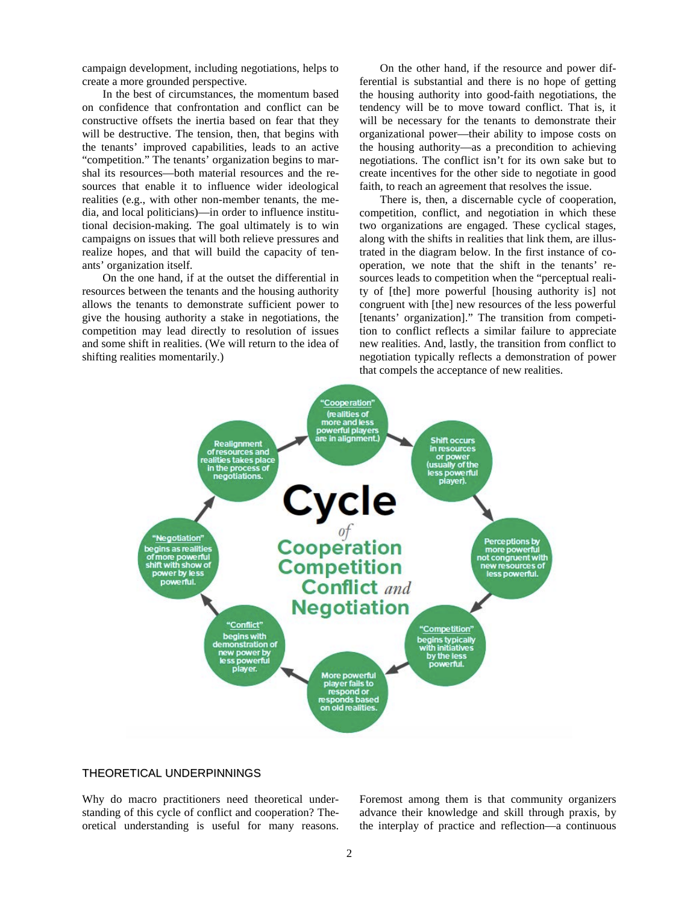campaign development, including negotiations, helps to create a more grounded perspective.

In the best of circumstances, the momentum based on confidence that confrontation and conflict can be constructive offsets the inertia based on fear that they will be destructive. The tension, then, that begins with the tenants' improved capabilities, leads to an active "competition." The tenants' organization begins to marshal its resources—both material resources and the resources that enable it to influence wider ideological realities (e.g., with other non-member tenants, the media, and local politicians)—in order to influence institutional decision-making. The goal ultimately is to win campaigns on issues that will both relieve pressures and realize hopes, and that will build the capacity of tenants' organization itself.

On the one hand, if at the outset the differential in resources between the tenants and the housing authority allows the tenants to demonstrate sufficient power to give the housing authority a stake in negotiations, the competition may lead directly to resolution of issues and some shift in realities. (We will return to the idea of shifting realities momentarily.)

On the other hand, if the resource and power differential is substantial and there is no hope of getting the housing authority into good-faith negotiations, the tendency will be to move toward conflict. That is, it will be necessary for the tenants to demonstrate their organizational power—their ability to impose costs on the housing authority—as a precondition to achieving negotiations. The conflict isn't for its own sake but to create incentives for the other side to negotiate in good faith, to reach an agreement that resolves the issue.

There is, then, a discernable cycle of cooperation, competition, conflict, and negotiation in which these two organizations are engaged. These cyclical stages, along with the shifts in realities that link them, are illustrated in the diagram below. In the first instance of cooperation, we note that the shift in the tenants' resources leads to competition when the "perceptual reality of [the] more powerful [housing authority is] not congruent with [the] new resources of the less powerful [tenants' organization]." The transition from competition to conflict reflects a similar failure to appreciate new realities. And, lastly, the transition from conflict to negotiation typically reflects a demonstration of power that compels the acceptance of new realities.



## THEORETICAL UNDERPINNINGS

Why do macro practitioners need theoretical understanding of this cycle of conflict and cooperation? Theoretical understanding is useful for many reasons. Foremost among them is that community organizers advance their knowledge and skill through praxis, by the interplay of practice and reflection—a continuous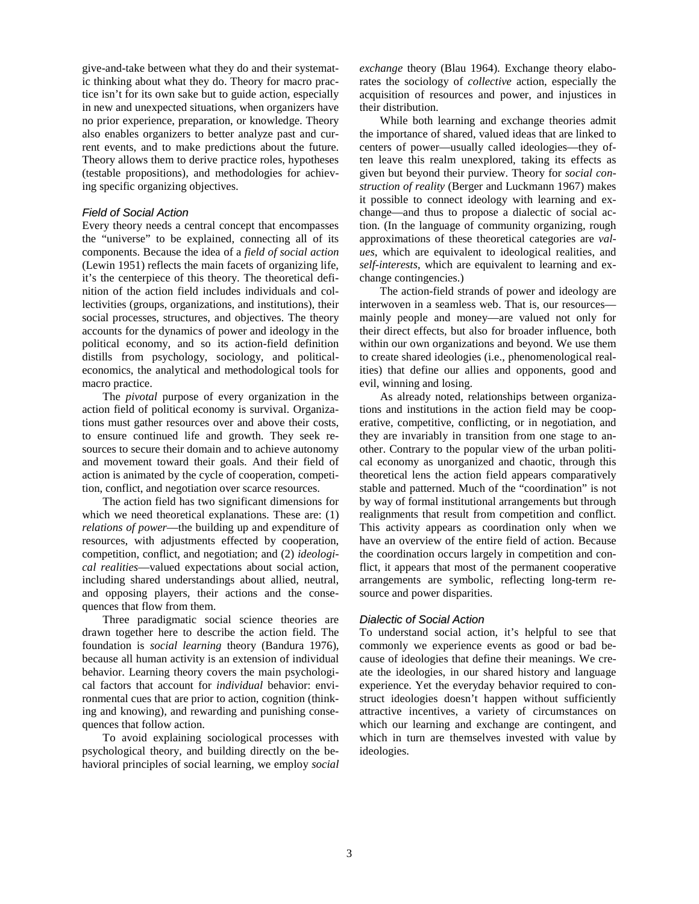give-and-take between what they do and their systematic thinking about what they do. Theory for macro practice isn't for its own sake but to guide action, especially in new and unexpected situations, when organizers have no prior experience, preparation, or knowledge. Theory also enables organizers to better analyze past and current events, and to make predictions about the future. Theory allows them to derive practice roles, hypotheses (testable propositions), and methodologies for achieving specific organizing objectives.

### *Field of Social Action*

Every theory needs a central concept that encompasses the "universe" to be explained, connecting all of its components. Because the idea of a *field of social action* (Lewin 1951) reflects the main facets of organizing life, it's the centerpiece of this theory. The theoretical definition of the action field includes individuals and collectivities (groups, organizations, and institutions), their social processes, structures, and objectives. The theory accounts for the dynamics of power and ideology in the political economy, and so its action-field definition distills from psychology, sociology, and politicaleconomics, the analytical and methodological tools for macro practice.

 The *pivotal* purpose of every organization in the action field of political economy is survival. Organizations must gather resources over and above their costs, to ensure continued life and growth. They seek resources to secure their domain and to achieve autonomy and movement toward their goals. And their field of action is animated by the cycle of cooperation, competition, conflict, and negotiation over scarce resources.

 The action field has two significant dimensions for which we need theoretical explanations. These are: (1) *relations of power*—the building up and expenditure of resources, with adjustments effected by cooperation, competition, conflict, and negotiation; and (2) *ideological realities*—valued expectations about social action, including shared understandings about allied, neutral, and opposing players, their actions and the consequences that flow from them.

 Three paradigmatic social science theories are drawn together here to describe the action field. The foundation is *social learning* theory (Bandura 1976), because all human activity is an extension of individual behavior. Learning theory covers the main psychological factors that account for *individual* behavior: environmental cues that are prior to action, cognition (thinking and knowing), and rewarding and punishing consequences that follow action.

To avoid explaining sociological processes with psychological theory, and building directly on the behavioral principles of social learning, we employ *social*  *exchange* theory (Blau 1964). Exchange theory elaborates the sociology of *collective* action, especially the acquisition of resources and power, and injustices in their distribution.

While both learning and exchange theories admit the importance of shared, valued ideas that are linked to centers of power—usually called ideologies—they often leave this realm unexplored, taking its effects as given but beyond their purview. Theory for *social construction of reality* (Berger and Luckmann 1967) makes it possible to connect ideology with learning and exchange—and thus to propose a dialectic of social action. (In the language of community organizing, rough approximations of these theoretical categories are *values*, which are equivalent to ideological realities, and *self-interests*, which are equivalent to learning and exchange contingencies.)

The action-field strands of power and ideology are interwoven in a seamless web. That is, our resources mainly people and money—are valued not only for their direct effects, but also for broader influence, both within our own organizations and beyond. We use them to create shared ideologies (i.e., phenomenological realities) that define our allies and opponents, good and evil, winning and losing.

 As already noted, relationships between organizations and institutions in the action field may be cooperative, competitive, conflicting, or in negotiation, and they are invariably in transition from one stage to another. Contrary to the popular view of the urban political economy as unorganized and chaotic, through this theoretical lens the action field appears comparatively stable and patterned. Much of the "coordination" is not by way of formal institutional arrangements but through realignments that result from competition and conflict. This activity appears as coordination only when we have an overview of the entire field of action. Because the coordination occurs largely in competition and conflict, it appears that most of the permanent cooperative arrangements are symbolic, reflecting long-term resource and power disparities.

#### *Dialectic of Social Action*

To understand social action, it's helpful to see that commonly we experience events as good or bad because of ideologies that define their meanings. We create the ideologies, in our shared history and language experience. Yet the everyday behavior required to construct ideologies doesn't happen without sufficiently attractive incentives, a variety of circumstances on which our learning and exchange are contingent, and which in turn are themselves invested with value by ideologies.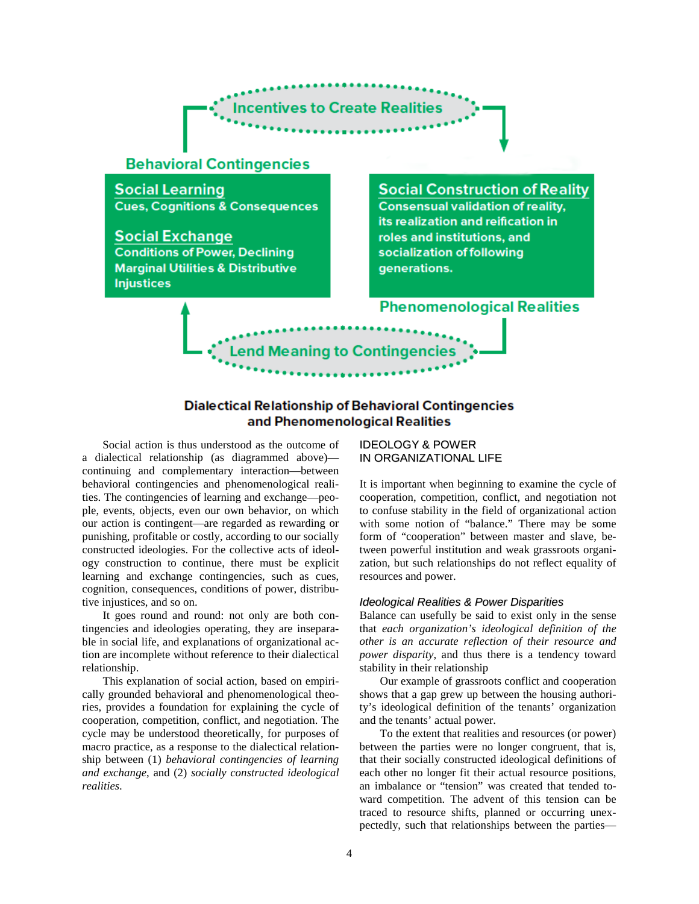

# **Phenomenological Realities**

**Dialectical Relationship of Behavioral Contingencies** and Phenomenological Realities

end Meaning to Contingen

Social action is thus understood as the outcome of a dialectical relationship (as diagrammed above) continuing and complementary interaction—between behavioral contingencies and phenomenological realities. The contingencies of learning and exchange—people, events, objects, even our own behavior, on which our action is contingent—are regarded as rewarding or punishing, profitable or costly, according to our socially constructed ideologies. For the collective acts of ideology construction to continue, there must be explicit learning and exchange contingencies, such as cues, cognition, consequences, conditions of power, distributive injustices, and so on.

It goes round and round: not only are both contingencies and ideologies operating, they are inseparable in social life, and explanations of organizational action are incomplete without reference to their dialectical relationship.

This explanation of social action, based on empirically grounded behavioral and phenomenological theories, provides a foundation for explaining the cycle of cooperation, competition, conflict, and negotiation. The cycle may be understood theoretically, for purposes of macro practice, as a response to the dialectical relationship between (1) *behavioral contingencies of learning and exchange*, and (2) *socially constructed ideological realities*.

IDEOLOGY & POWER IN ORGANIZATIONAL LIFE

It is important when beginning to examine the cycle of cooperation, competition, conflict, and negotiation not to confuse stability in the field of organizational action with some notion of "balance." There may be some form of "cooperation" between master and slave, between powerful institution and weak grassroots organization, but such relationships do not reflect equality of resources and power.

## *Ideological Realities & Power Disparities*

Balance can usefully be said to exist only in the sense that *each organization's ideological definition of the other is an accurate reflection of their resource and power disparity*, and thus there is a tendency toward stability in their relationship

Our example of grassroots conflict and cooperation shows that a gap grew up between the housing authority's ideological definition of the tenants' organization and the tenants' actual power.

To the extent that realities and resources (or power) between the parties were no longer congruent, that is, that their socially constructed ideological definitions of each other no longer fit their actual resource positions, an imbalance or "tension" was created that tended toward competition. The advent of this tension can be traced to resource shifts, planned or occurring unexpectedly, such that relationships between the parties